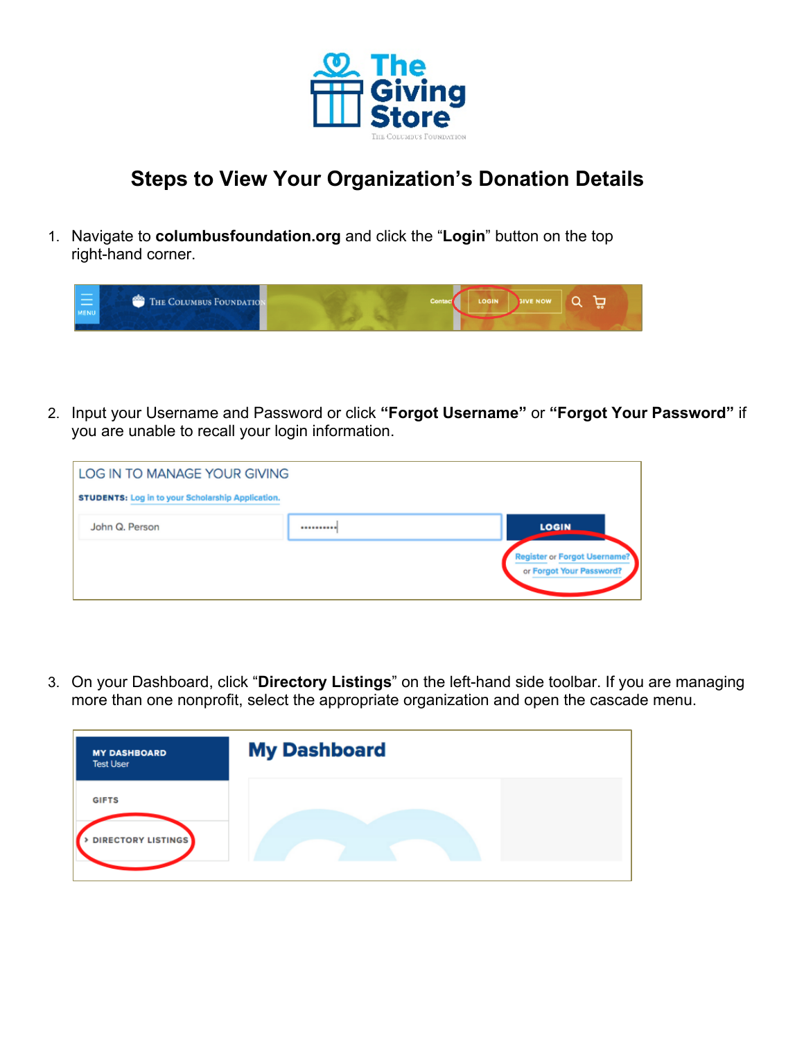

## **Steps to View Your Organization's Donation Details**

1. Navigate to **columbusfoundation.org** and click the "**Login**" button on the top right-hand corner.

| <b>Contract Contract Contract Contract</b><br><b>MENU</b> | <b>THE COLUMBUS FOUNDATION</b> | Contact | LOGIN   SIVE NOW |  |  |
|-----------------------------------------------------------|--------------------------------|---------|------------------|--|--|
|                                                           |                                |         |                  |  |  |

2. Input your Username and Password or click **"Forgot Username"** or **"Forgot Your Password"** if you are unable to recall your login information.

| LOG IN TO MANAGE YOUR GIVING                             |            |                                                                 |
|----------------------------------------------------------|------------|-----------------------------------------------------------------|
| <b>STUDENTS: Log in to your Scholarship Application.</b> |            |                                                                 |
| John Q. Person                                           | ********** | <b>LOGIN</b>                                                    |
|                                                          |            | <b>Register or Forgot Username?</b><br>or Forgot Your Password? |

3. On your Dashboard, click "**Directory Listings**" on the left-hand side toolbar. If you are managing more than one nonprofit, select the appropriate organization and open the cascade menu.

| <b>MY DASHBOARD</b><br><b>Test User</b>   | <b>My Dashboard</b> |
|-------------------------------------------|---------------------|
| <b>GIFTS</b><br><b>DIRECTORY LISTINGS</b> |                     |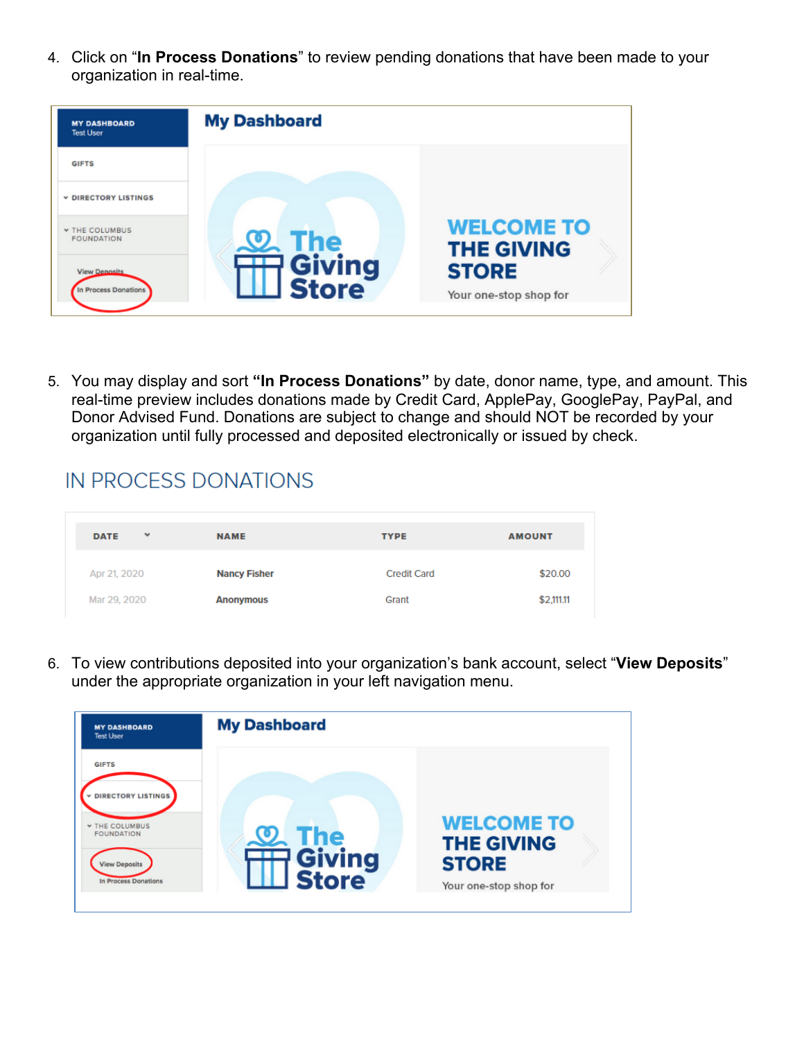4. Click on "**In Process Donations**" to review pending donations that have been made to your organization in real-time.



5. You may display and sort **"In Process Donations"** by date, donor name, type, and amount. This real-time preview includes donations made by Credit Card, ApplePay, GooglePay, PayPal, and Donor Advised Fund. Donations are subject to change and should NOT be recorded by your organization until fully processed and deposited electronically or issued by check.

## IN PROCESS DONATIONS

| $\checkmark$<br><b>DATE</b> | <b>NAME</b>         | <b>TYPE</b>        | <b>AMOUNT</b> |
|-----------------------------|---------------------|--------------------|---------------|
| Apr 21, 2020                | <b>Nancy Fisher</b> | <b>Credit Card</b> | \$20.00       |
| Mar 29, 2020                | <b>Anonymous</b>    | Grant              | \$2,111.11    |

6. To view contributions deposited into your organization's bank account, select "**View Deposits**" under the appropriate organization in your left navigation menu.

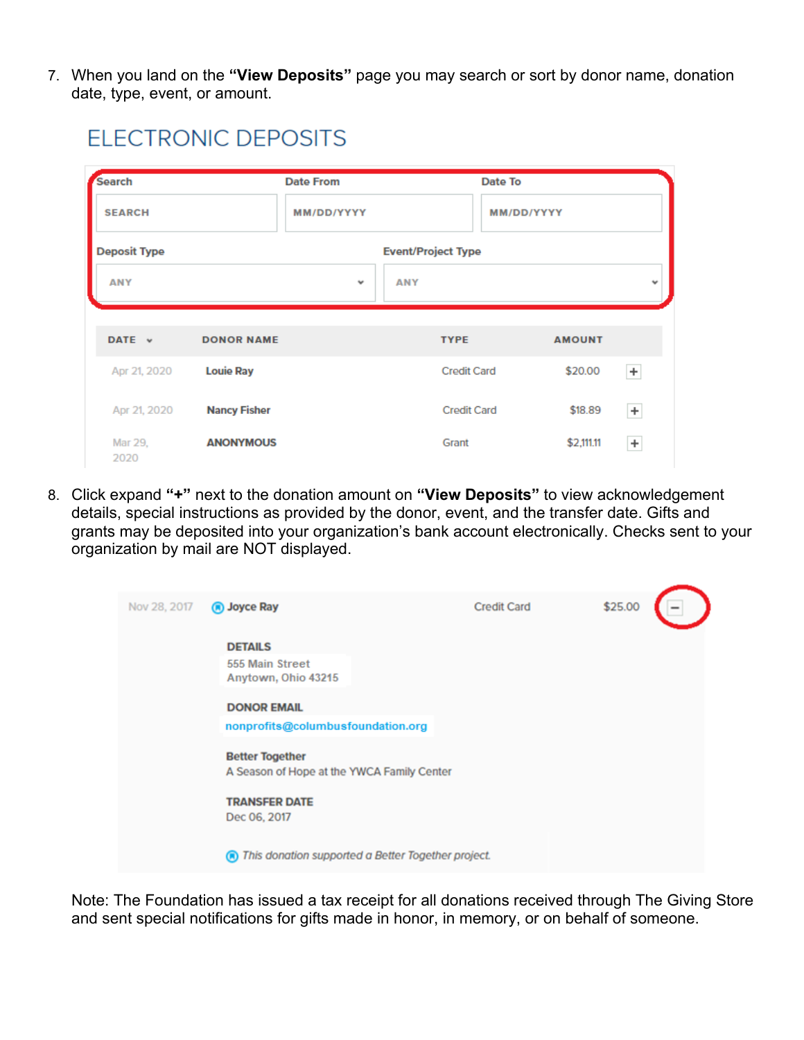7. When you land on the **"View Deposits"** page you may search or sort by donor name, donation date, type, event, or amount.

**ELECTRONIC DEPOSITS** 

|                         |                                         | <b>Date From</b>          | Date To                     |                       |       |
|-------------------------|-----------------------------------------|---------------------------|-----------------------------|-----------------------|-------|
| <b>SEARCH</b>           |                                         | MM/DD/YYYY                | MM/DD/YYYY                  |                       |       |
| <b>Deposit Type</b>     |                                         | <b>Event/Project Type</b> |                             |                       |       |
| <b>ANY</b>              |                                         | <b>ANY</b><br>$\check{~}$ |                             |                       |       |
|                         |                                         |                           |                             |                       |       |
| DATE v                  | <b>DONOR NAME</b>                       |                           | <b>TYPE</b>                 | <b>AMOUNT</b>         |       |
| Apr 21, 2020            | <b>Louie Ray</b>                        |                           | <b>Credit Card</b>          | \$20.00               | $\pm$ |
|                         |                                         |                           |                             |                       | $\pm$ |
|                         |                                         |                           |                             |                       |       |
| Apr 21, 2020<br>Mar 29, | <b>Nancy Fisher</b><br><b>ANONYMOUS</b> |                           | <b>Credit Card</b><br>Grant | \$18.89<br>\$2,111.11 |       |

8. Click expand **"+"** next to the donation amount on **"View Deposits"** to view acknowledgement details, special instructions as provided by the donor, event, and the transfer date. Gifts and grants may be deposited into your organization's bank account electronically. Checks sent to your organization by mail are NOT displayed.

| Nov 28, 2017 | (a) Joyce Ray                                                        | <b>Credit Card</b> | \$25.00 |
|--------------|----------------------------------------------------------------------|--------------------|---------|
|              | <b>DETAILS</b>                                                       |                    |         |
|              | 555 Main Street<br>Anytown, Ohio 43215                               |                    |         |
|              | <b>DONOR EMAIL</b>                                                   |                    |         |
|              | nonprofits@columbusfoundation.org                                    |                    |         |
|              | <b>Better Together</b><br>A Season of Hope at the YWCA Family Center |                    |         |
|              | <b>TRANSFER DATE</b><br>Dec 06, 2017                                 |                    |         |
|              | This donation supported a Better Together project.<br>ൈ              |                    |         |
|              |                                                                      |                    |         |

Note: The Foundation has issued a tax receipt for all donations received through The Giving Store and sent special notifications for gifts made in honor, in memory, or on behalf of someone.